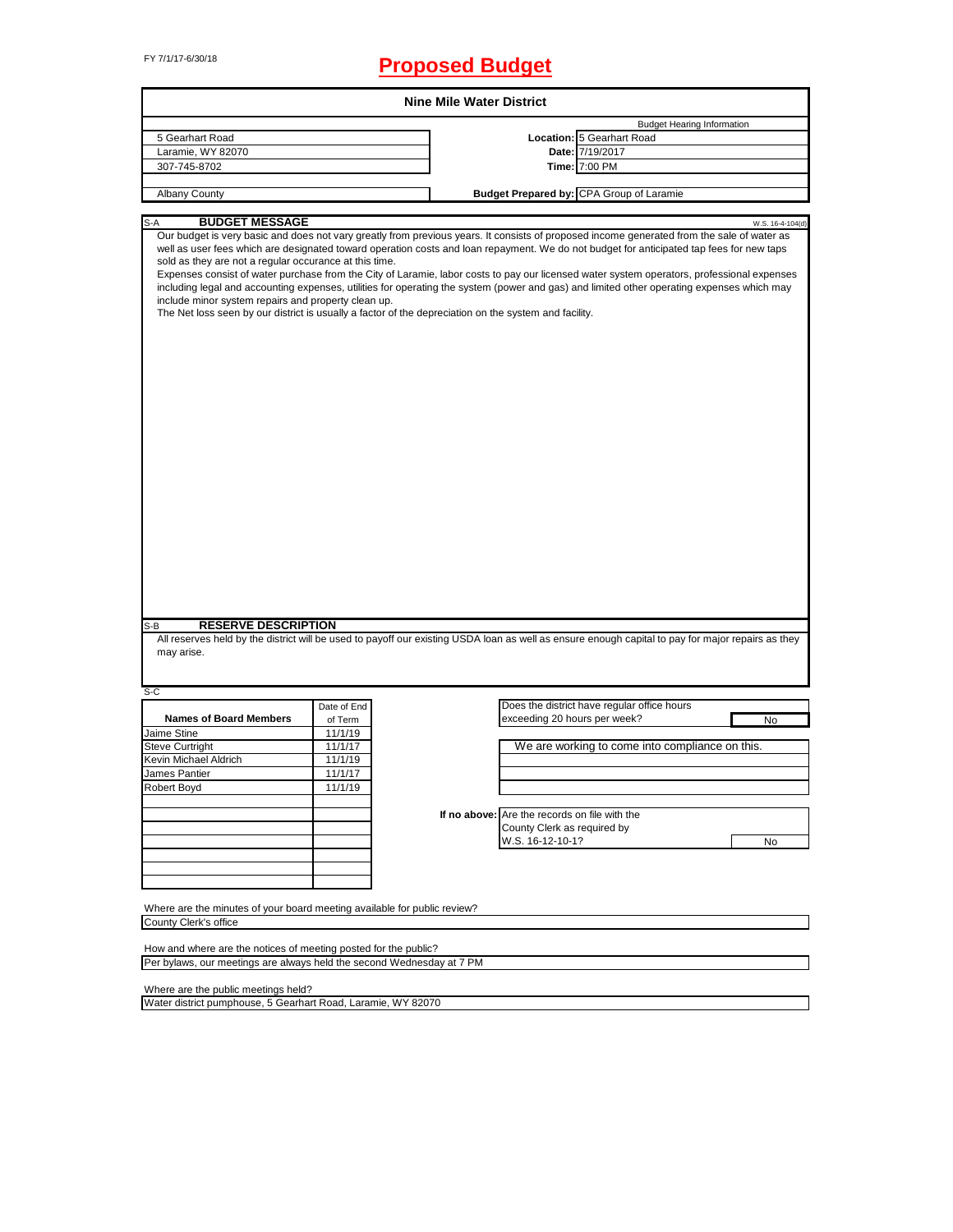# FY 7/1/17-6/30/18 **Proposed Budget**

|                                                                                                                                                                                                                        |             | <b>Nine Mile Water District</b>               |                                                                                                                                                                                                                                                                                                                                                                                                                                      |
|------------------------------------------------------------------------------------------------------------------------------------------------------------------------------------------------------------------------|-------------|-----------------------------------------------|--------------------------------------------------------------------------------------------------------------------------------------------------------------------------------------------------------------------------------------------------------------------------------------------------------------------------------------------------------------------------------------------------------------------------------------|
|                                                                                                                                                                                                                        |             |                                               | <b>Budget Hearing Information</b>                                                                                                                                                                                                                                                                                                                                                                                                    |
| 5 Gearhart Road                                                                                                                                                                                                        |             |                                               | Location: 5 Gearhart Road                                                                                                                                                                                                                                                                                                                                                                                                            |
| Laramie, WY 82070                                                                                                                                                                                                      |             |                                               | Date: 7/19/2017                                                                                                                                                                                                                                                                                                                                                                                                                      |
| 307-745-8702                                                                                                                                                                                                           |             |                                               | Time: 7:00 PM                                                                                                                                                                                                                                                                                                                                                                                                                        |
| <b>Albany County</b>                                                                                                                                                                                                   |             |                                               | Budget Prepared by: CPA Group of Laramie                                                                                                                                                                                                                                                                                                                                                                                             |
|                                                                                                                                                                                                                        |             |                                               |                                                                                                                                                                                                                                                                                                                                                                                                                                      |
| <b>BUDGET MESSAGE</b><br>S-A                                                                                                                                                                                           |             |                                               | W.S. 16-4-104(d)<br>Our budget is very basic and does not vary greatly from previous years. It consists of proposed income generated from the sale of water as                                                                                                                                                                                                                                                                       |
| sold as they are not a regular occurance at this time.<br>include minor system repairs and property clean up.<br>The Net loss seen by our district is usually a factor of the depreciation on the system and facility. |             |                                               | well as user fees which are designated toward operation costs and loan repayment. We do not budget for anticipated tap fees for new taps<br>Expenses consist of water purchase from the City of Laramie, labor costs to pay our licensed water system operators, professional expenses<br>including legal and accounting expenses, utilities for operating the system (power and gas) and limited other operating expenses which may |
|                                                                                                                                                                                                                        |             |                                               |                                                                                                                                                                                                                                                                                                                                                                                                                                      |
|                                                                                                                                                                                                                        |             |                                               |                                                                                                                                                                                                                                                                                                                                                                                                                                      |
| <b>RESERVE DESCRIPTION</b><br>may arise.                                                                                                                                                                               |             |                                               | All reserves held by the district will be used to payoff our existing USDA loan as well as ensure enough capital to pay for major repairs as they                                                                                                                                                                                                                                                                                    |
|                                                                                                                                                                                                                        | Date of End |                                               | Does the district have regular office hours                                                                                                                                                                                                                                                                                                                                                                                          |
| <b>Names of Board Members</b>                                                                                                                                                                                          | of Term     | exceeding 20 hours per week?                  | No                                                                                                                                                                                                                                                                                                                                                                                                                                   |
|                                                                                                                                                                                                                        | 11/1/19     |                                               |                                                                                                                                                                                                                                                                                                                                                                                                                                      |
|                                                                                                                                                                                                                        | 11/1/17     |                                               | We are working to come into compliance on this.                                                                                                                                                                                                                                                                                                                                                                                      |
|                                                                                                                                                                                                                        | 11/1/19     |                                               |                                                                                                                                                                                                                                                                                                                                                                                                                                      |
|                                                                                                                                                                                                                        | 11/1/17     |                                               |                                                                                                                                                                                                                                                                                                                                                                                                                                      |
|                                                                                                                                                                                                                        | 11/1/19     |                                               |                                                                                                                                                                                                                                                                                                                                                                                                                                      |
|                                                                                                                                                                                                                        |             |                                               |                                                                                                                                                                                                                                                                                                                                                                                                                                      |
|                                                                                                                                                                                                                        |             | If no above: Are the records on file with the |                                                                                                                                                                                                                                                                                                                                                                                                                                      |
|                                                                                                                                                                                                                        |             | County Clerk as required by                   |                                                                                                                                                                                                                                                                                                                                                                                                                                      |
| S-B<br>S-C<br>Jaime Stine<br><b>Steve Curtright</b><br>Kevin Michael Aldrich<br>James Pantier<br>Robert Boyd                                                                                                           |             | W.S. 16-12-10-1?                              | No                                                                                                                                                                                                                                                                                                                                                                                                                                   |
|                                                                                                                                                                                                                        |             |                                               |                                                                                                                                                                                                                                                                                                                                                                                                                                      |
|                                                                                                                                                                                                                        |             |                                               |                                                                                                                                                                                                                                                                                                                                                                                                                                      |
|                                                                                                                                                                                                                        |             |                                               |                                                                                                                                                                                                                                                                                                                                                                                                                                      |
|                                                                                                                                                                                                                        |             |                                               |                                                                                                                                                                                                                                                                                                                                                                                                                                      |
| Where are the minutes of your board meeting available for public review?<br>County Clerk's office                                                                                                                      |             |                                               |                                                                                                                                                                                                                                                                                                                                                                                                                                      |

How and where are the notices of meeting posted for the public? Per bylaws, our meetings are always held the second Wednesday at 7 PM

Where are the public meetings held?

Water district pumphouse, 5 Gearhart Road, Laramie, WY 82070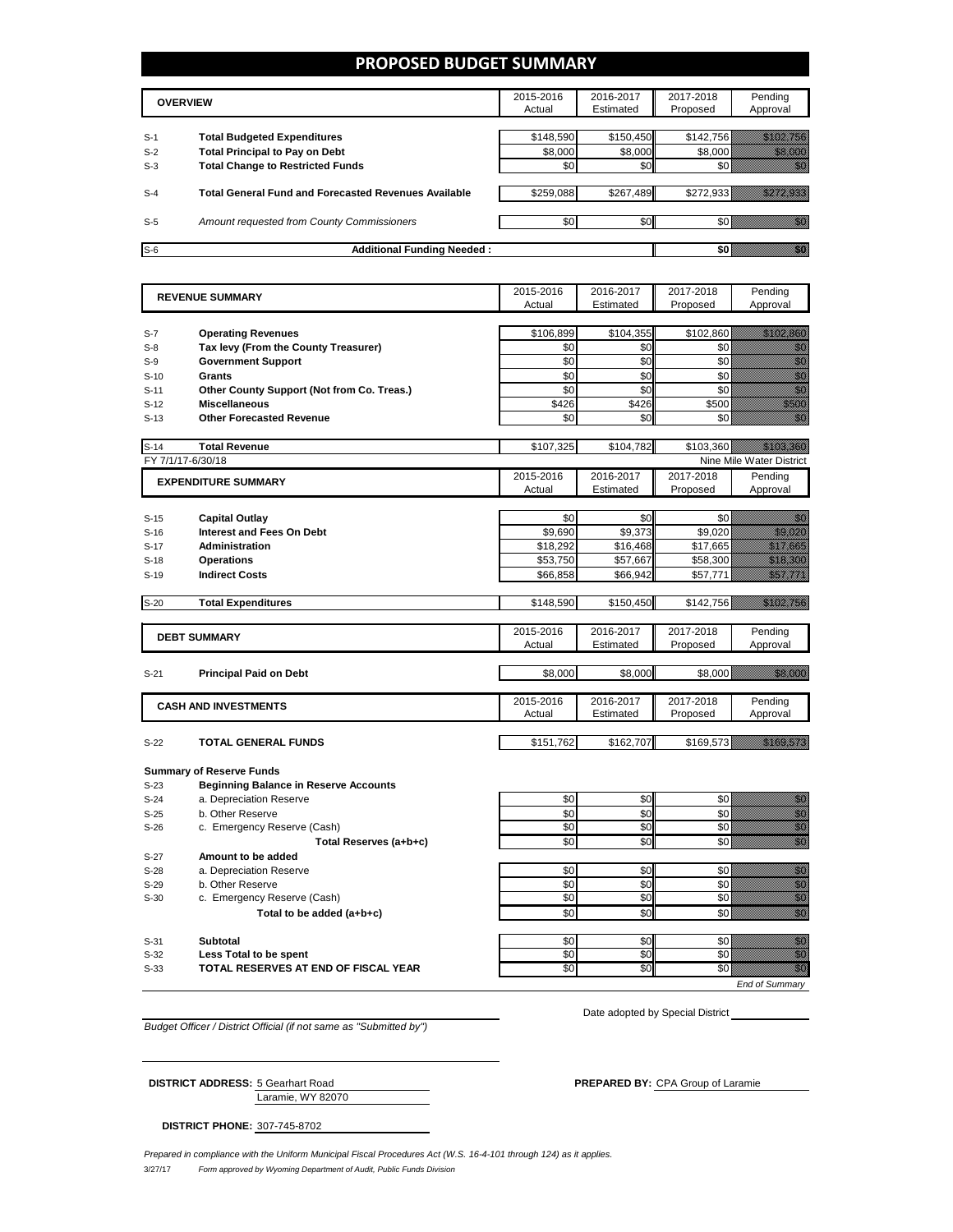### **PROPOSED BUDGET SUMMARY**

|       | <b>OVERVIEW</b>                                             | 2015-2016<br>Actual | 2016-2017<br>Estimated | 2017-2018<br>Proposed | Pendina<br>Approval |
|-------|-------------------------------------------------------------|---------------------|------------------------|-----------------------|---------------------|
| $S-1$ | <b>Total Budgeted Expenditures</b>                          | \$148,590           | \$150,450              | \$142,756             |                     |
| $S-2$ | <b>Total Principal to Pay on Debt</b>                       | \$8,000             | \$8,000                | \$8,000               |                     |
| $S-3$ | <b>Total Change to Restricted Funds</b>                     | \$0                 | \$0                    |                       |                     |
| $S-4$ | <b>Total General Fund and Forecasted Revenues Available</b> | \$259,088           | \$267,489              | \$272.933             |                     |
| $S-5$ | Amount requested from County Commissioners                  | \$0                 | \$0                    |                       |                     |
| $S-6$ | <b>Additional Funding Needed:</b>                           |                     |                        |                       |                     |

|                   | <b>REVENUE SUMMARY</b>                       | 2015-2016 | 2016-2017 | 2017-2018 | Pending                                                                                                                                                                                                                          |
|-------------------|----------------------------------------------|-----------|-----------|-----------|----------------------------------------------------------------------------------------------------------------------------------------------------------------------------------------------------------------------------------|
|                   |                                              | Actual    | Estimated | Proposed  | Approval                                                                                                                                                                                                                         |
|                   |                                              |           |           |           |                                                                                                                                                                                                                                  |
| $S-7$             | <b>Operating Revenues</b>                    | \$106,899 | \$104,355 | \$102,860 | <u> Hillingan yang digunakan dalam kalendar dan dalam kalendar dan dalam kalendar dalam dalam dalam kalendar dala</u>                                                                                                            |
| $S-8$             | Tax levy (From the County Treasurer)         | \$0       | \$0       | \$0       | en de la familie de la familie de la familie de la familie de la familie de la familie de la familie de la fa<br>Constitution de la familie de la familie de la familie de la familie de la familie de la familie de la familie  |
| $S-9$             | <b>Government Support</b>                    | \$0       | \$0       | \$0       | en de la familie de la familie de la familie de la familie de la familie de la familie de la familie de la fam<br>Constitution de la familie de la familie de la familie de la familie de la familie de la familie de la familie |
| $S-10$            | <b>Grants</b>                                | \$0       | \$0       | \$0       | en de la familie de la familie de la familie de la familie de la familie de la familie de la familie de la fam<br>Constituit de la familie de la familie de la familie de la familie de la familie de la familie de la familie d |
| $S-11$            | Other County Support (Not from Co. Treas.)   | \$0       | \$0       | \$0       | en de la familie de la familie de la familie de la familie de la familie de la familie de la familie de la fam<br>Constituit de la familie de la familie de la familie de la familie de la familie de la familie de la familie d |
| $S-12$            | <b>Miscellaneous</b>                         | \$426     | \$426     | \$500     | e de la composición de la composición de la composición de la composición de la composición de la composición<br>Campo de la composición de la composición de la composición de la composición de la composición de la composic  |
| $S-13$            | <b>Other Forecasted Revenue</b>              | \$0       | \$0       | \$0       | en de la familie de la familie de la familie de la familie de la familie de la familie de la familie de la fam<br>Constituit de la familie de la familie de la familie de la familie de la familie de la familie de la familie d |
| $S-14$            | <b>Total Revenue</b>                         | \$107,325 | \$104,782 | \$103,360 |                                                                                                                                                                                                                                  |
| FY 7/1/17-6/30/18 |                                              |           |           |           | Nine Mile Water District                                                                                                                                                                                                         |
|                   | <b>EXPENDITURE SUMMARY</b>                   | 2015-2016 | 2016-2017 | 2017-2018 | Pending                                                                                                                                                                                                                          |
|                   |                                              | Actual    | Estimated | Proposed  | Approval                                                                                                                                                                                                                         |
|                   |                                              |           |           |           |                                                                                                                                                                                                                                  |
| $S-15$            | <b>Capital Outlay</b>                        | \$0       | \$0       | \$0       | 199                                                                                                                                                                                                                              |
| $S-16$            | <b>Interest and Fees On Debt</b>             | \$9,690   | \$9,373   | \$9,020   | <u>ilikuwa k</u>                                                                                                                                                                                                                 |
| $S-17$            | <b>Administration</b>                        | \$18,292  | \$16,468  | \$17,665  | <u>eliminati</u>                                                                                                                                                                                                                 |
| $S-18$            | <b>Operations</b>                            | \$53,750  | \$57,667  | \$58,300  | <u> Martin Sa</u>                                                                                                                                                                                                                |
| $S-19$            | <b>Indirect Costs</b>                        | \$66,858  | \$66,942  | \$57,771  | <u>Siilillillillil</u> l                                                                                                                                                                                                         |
|                   |                                              |           |           |           |                                                                                                                                                                                                                                  |
| $S-20$            | <b>Total Expenditures</b>                    | \$148,590 | \$150,450 | \$142,756 | <u> Hillian San Baratas San Baratas San Baratas San Baratas San Baratas San Baratas San Baratas San Baratas San B</u>                                                                                                            |
|                   |                                              |           |           |           |                                                                                                                                                                                                                                  |
|                   | <b>DEBT SUMMARY</b>                          | 2015-2016 | 2016-2017 | 2017-2018 | Pending                                                                                                                                                                                                                          |
|                   |                                              | Actual    | Estimated | Proposed  | Approval                                                                                                                                                                                                                         |
| $S-21$            | <b>Principal Paid on Debt</b>                | \$8,000   | \$8,000   | \$8,000   | <u> Hillian Sta</u>                                                                                                                                                                                                              |
|                   |                                              |           |           |           |                                                                                                                                                                                                                                  |
|                   |                                              | 2015-2016 | 2016-2017 | 2017-2018 | Pending                                                                                                                                                                                                                          |
|                   | <b>CASH AND INVESTMENTS</b>                  | Actual    | Estimated | Proposed  | Approval                                                                                                                                                                                                                         |
|                   |                                              |           |           |           |                                                                                                                                                                                                                                  |
| $S-22$            | <b>TOTAL GENERAL FUNDS</b>                   | \$151,762 | \$162,707 | \$169,573 | <u> Karl Lindon (</u>                                                                                                                                                                                                            |
|                   | <b>Summary of Reserve Funds</b>              |           |           |           |                                                                                                                                                                                                                                  |
| $S-23$            | <b>Beginning Balance in Reserve Accounts</b> |           |           |           |                                                                                                                                                                                                                                  |
| $S-24$            | a. Depreciation Reserve                      | \$0       | \$0       | \$0       | elli politik<br>Maria Santonia                                                                                                                                                                                                   |
| $S-25$            | b. Other Reserve                             | \$0       | \$0       | \$0       |                                                                                                                                                                                                                                  |
| $S-26$            | c. Emergency Reserve (Cash)                  | \$0       | \$0       | \$0       | e de la composición de la composición de la composición de la composición de la composición de la composición<br>Campo de la composición de la composición de la composición de la composición de la composición de la composic  |
|                   | Total Reserves (a+b+c)                       | \$0       | \$0       | \$0       | en<br>Maria                                                                                                                                                                                                                      |
| $S-27$            | Amount to be added                           |           |           |           |                                                                                                                                                                                                                                  |
| $S-28$            | a. Depreciation Reserve                      | \$0       | \$0       | \$0       |                                                                                                                                                                                                                                  |
| $S-29$            | b. Other Reserve                             | \$0       | \$0       | \$0       | e de la construcción de la construcción de la construcción de la construcción de la construcción de la construcción<br>Construcción                                                                                              |
| $S-30$            | c. Emergency Reserve (Cash)                  | \$0       | \$0       | \$0       |                                                                                                                                                                                                                                  |
|                   | Total to be added (a+b+c)                    | \$0       | \$0       | \$0       | en de la filosofia<br>Maria de la filòsofia                                                                                                                                                                                      |
| $S-31$            | <b>Subtotal</b>                              | \$0       | \$0       | \$0       |                                                                                                                                                                                                                                  |
| $S-32$            | Less Total to be spent                       | \$0       | \$0       | \$0       | e de la composición de la composición de la composición de la composición de la composición de la composición<br>Composición                                                                                                     |
| $S-33$            | TOTAL RESERVES AT END OF FISCAL YEAR         | \$0       | \$0       | \$0       | en en de la familie de la familie de la familie de la familie de la familie de la familie de la familie de la<br>Géografia                                                                                                       |
|                   |                                              |           |           |           |                                                                                                                                                                                                                                  |

*Budget Officer / District Official (if not same as "Submitted by")*

Laramie, WY 82070

Date adopted by Special District

**DISTRICT ADDRESS:** 5 Gearhart Road **PREPARED BY: CPA Group of Laramie** 

*End of Summary*

**DISTRICT PHONE:** 307-745-8702

3/27/17 *Form approved by Wyoming Department of Audit, Public Funds Division Prepared in compliance with the Uniform Municipal Fiscal Procedures Act (W.S. 16-4-101 through 124) as it applies.*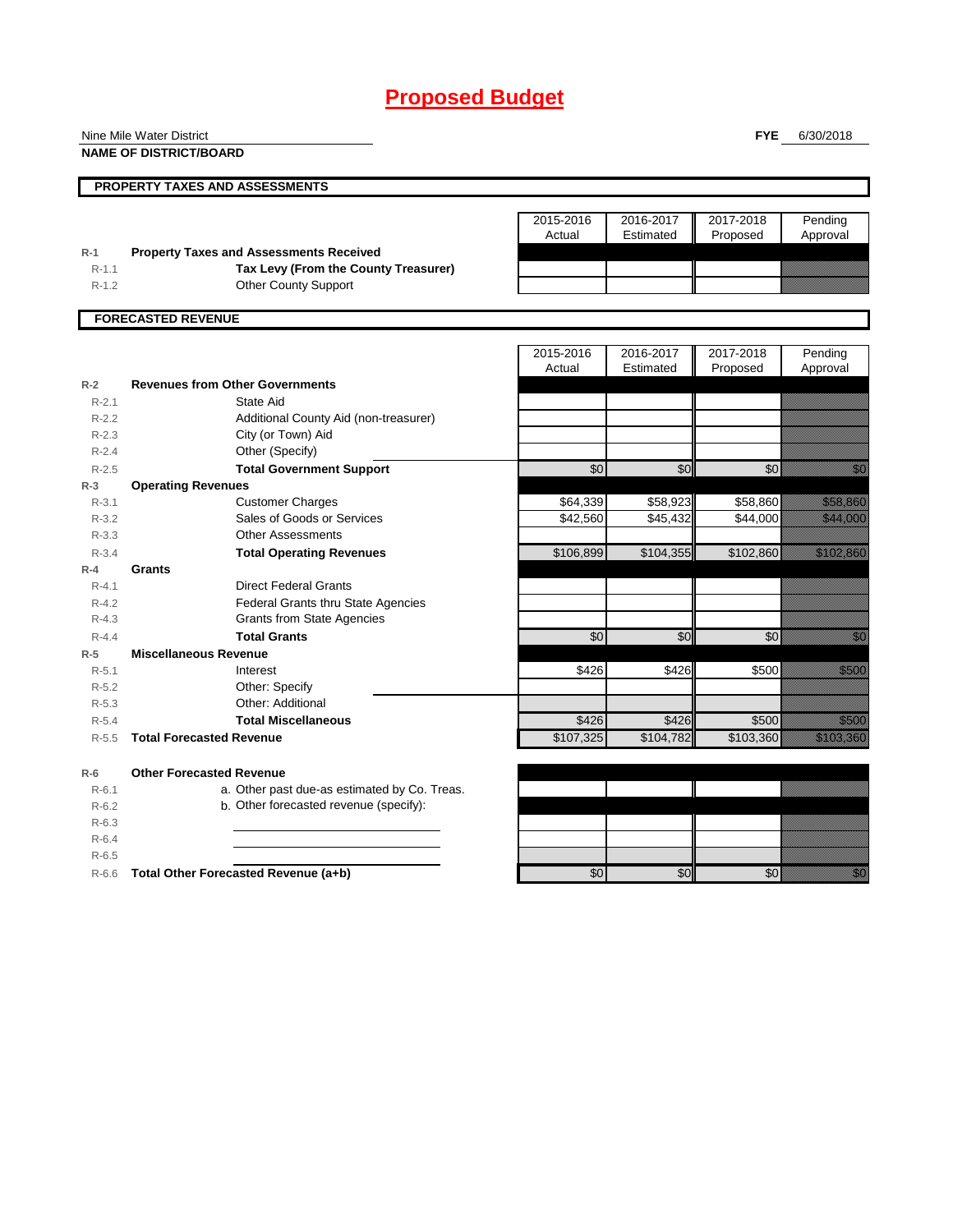# **Proposed Budget**

|           | Nine Mile Water District                       |                     |                        | <b>FYE</b>            | 6/30/2018                                                                                                            |
|-----------|------------------------------------------------|---------------------|------------------------|-----------------------|----------------------------------------------------------------------------------------------------------------------|
|           | <b>NAME OF DISTRICT/BOARD</b>                  |                     |                        |                       |                                                                                                                      |
|           | PROPERTY TAXES AND ASSESSMENTS                 |                     |                        |                       |                                                                                                                      |
|           |                                                |                     |                        |                       |                                                                                                                      |
|           |                                                | 2015-2016<br>Actual | 2016-2017<br>Estimated | 2017-2018<br>Proposed | Pending<br>Approval                                                                                                  |
| $R-1$     | <b>Property Taxes and Assessments Received</b> |                     |                        |                       |                                                                                                                      |
| $R-1.1$   | Tax Levy (From the County Treasurer)           |                     |                        |                       |                                                                                                                      |
| $R-1.2$   | <b>Other County Support</b>                    |                     |                        |                       |                                                                                                                      |
|           | <b>FORECASTED REVENUE</b>                      |                     |                        |                       |                                                                                                                      |
|           |                                                |                     |                        |                       |                                                                                                                      |
|           |                                                | 2015-2016<br>Actual | 2016-2017<br>Estimated | 2017-2018<br>Proposed | Pending<br>Approval                                                                                                  |
| $R-2$     | <b>Revenues from Other Governments</b>         |                     |                        |                       |                                                                                                                      |
| $R-2.1$   | State Aid                                      |                     |                        |                       |                                                                                                                      |
| $R-2.2$   | Additional County Aid (non-treasurer)          |                     |                        |                       |                                                                                                                      |
| $R-2.3$   | City (or Town) Aid                             |                     |                        |                       |                                                                                                                      |
| $R - 2.4$ | Other (Specify)                                |                     |                        |                       |                                                                                                                      |
| $R-2.5$   | <b>Total Government Support</b>                | $\overline{50}$     | \$0                    | \$0                   | <u>tik d</u>                                                                                                         |
| $R-3$     | <b>Operating Revenues</b>                      |                     |                        |                       |                                                                                                                      |
| $R - 3.1$ | <b>Customer Charges</b>                        | \$64,339            | \$58,923               | \$58,860              | a a a an t-òrdan                                                                                                     |
| $R-3.2$   | Sales of Goods or Services                     | \$42,560            | \$45,432               | \$44,000              | <u> Elizabeth Charles (</u>                                                                                          |
| $R - 3.3$ | <b>Other Assessments</b>                       |                     |                        |                       |                                                                                                                      |
| $R - 3.4$ | <b>Total Operating Revenues</b>                | \$106,899           | \$104,355              | \$102,860             | a katalunggal na katalunggal na katalunggal na katalunggal na katalunggal na katalunggal na katalunggal na kat       |
| $R-4$     | Grants                                         |                     |                        |                       |                                                                                                                      |
| $R - 4.1$ | <b>Direct Federal Grants</b>                   |                     |                        |                       |                                                                                                                      |
| $R-4.2$   | Federal Grants thru State Agencies             |                     |                        |                       |                                                                                                                      |
| $R-4.3$   | <b>Grants from State Agencies</b>              |                     |                        |                       |                                                                                                                      |
| $R - 4.4$ | <b>Total Grants</b>                            | \$0                 | \$0                    | \$0                   | <u>film</u>                                                                                                          |
| $R-5$     | <b>Miscellaneous Revenue</b>                   |                     |                        |                       |                                                                                                                      |
| $R-5.1$   | Interest                                       | \$426               | \$426                  | \$500                 | a a an an t-                                                                                                         |
| $R-5.2$   | Other: Specify                                 |                     |                        |                       |                                                                                                                      |
| $R - 5.3$ | Other: Additional                              |                     |                        |                       |                                                                                                                      |
| $R-5.4$   | <b>Total Miscellaneous</b>                     | \$426               | \$426                  | \$500                 | <u>ti ka</u>                                                                                                         |
| $R-5.5$   | <b>Total Forecasted Revenue</b>                | \$107,325           | \$104,782              | \$103,360             | <u> Charles Charles Charles Charles Charles Charles Charles Charles Charles Charles Charles Charles Charles Char</u> |
| $R-6$     | <b>Other Forecasted Revenue</b>                |                     |                        |                       |                                                                                                                      |
| $R-6.1$   | a. Other past due-as estimated by Co. Treas.   |                     |                        |                       |                                                                                                                      |
| $R-6.2$   | b. Other forecasted revenue (specify):         |                     |                        |                       |                                                                                                                      |
| $R-6.3$   |                                                |                     |                        |                       |                                                                                                                      |
| $R-6.4$   |                                                |                     |                        |                       |                                                                                                                      |
| $R-6.5$   |                                                |                     |                        |                       |                                                                                                                      |
| R-6.6     | Total Other Forecasted Revenue (a+b)           | \$0                 | \$0                    | \$0                   | en de la falsa<br>Maria de la falsa de la falsa de la falsa de la falsa de la falsa de la falsa de la falsa de la    |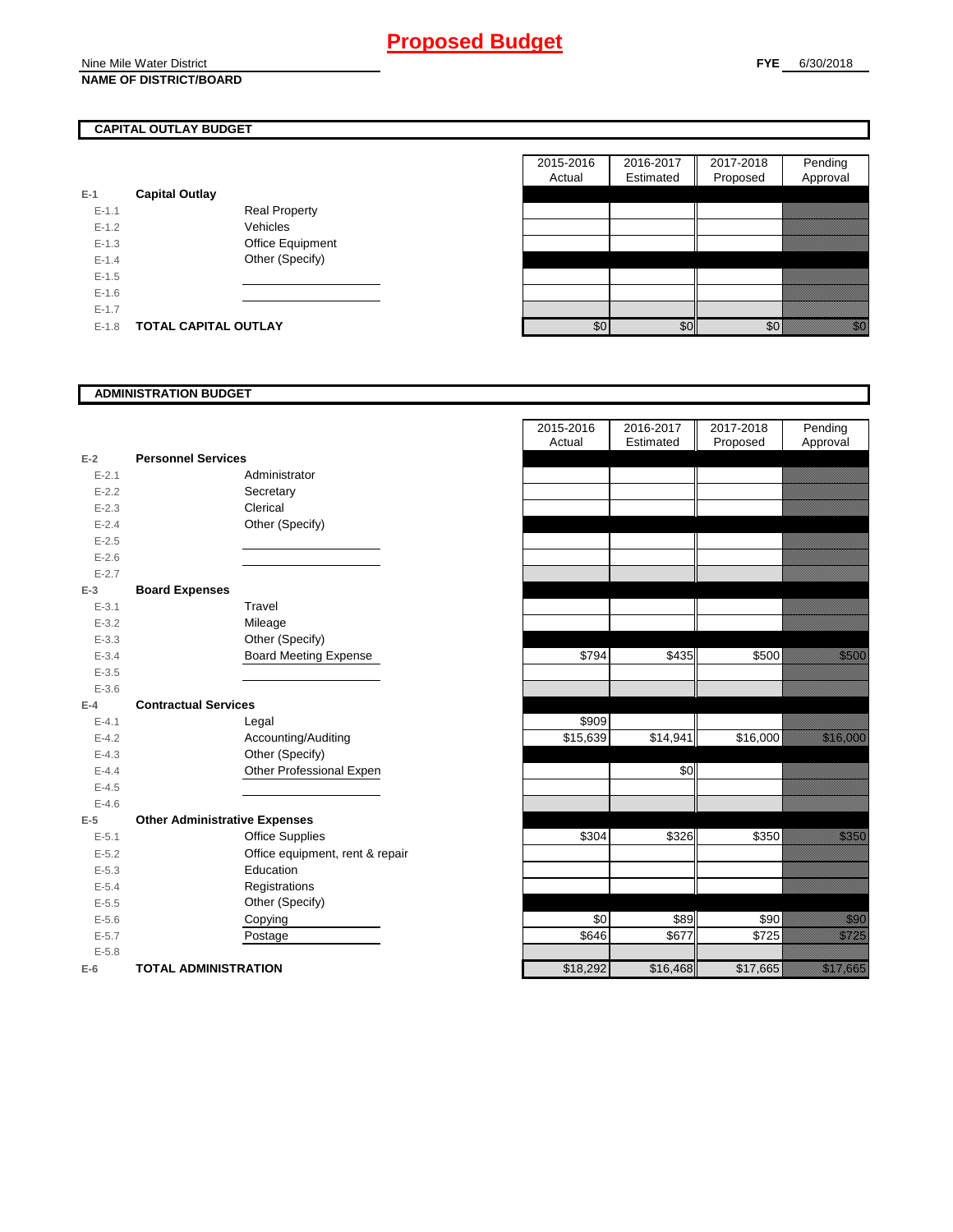Nine Mile Water District **NAME OF DISTRICT/BOARD**

## **CAPITAL OUTLAY BUDGET**

| E-1       | <b>Capital Outlay</b> |                         |
|-----------|-----------------------|-------------------------|
| $E - 1.1$ |                       | <b>Real Property</b>    |
| $F-12$    |                       | Vehicles                |
| $F-1.3$   |                       | <b>Office Equipment</b> |
| $F-14$    |                       | Other (Specify)         |
| $F-1.5$   |                       |                         |
| $F-16$    |                       |                         |
| $E - 1.7$ |                       |                         |
| $E - 1.8$ | TOTAL CAPITAL OUTLAY  |                         |

|           |                             |                      | 2015-2016 | 2016-2017 | 2017-2018 | Pending                 |
|-----------|-----------------------------|----------------------|-----------|-----------|-----------|-------------------------|
|           |                             |                      | Actual    | Estimated | Proposed  | Approval                |
|           | <b>Capital Outlay</b>       |                      |           |           |           |                         |
| $E-1.1$   |                             | <b>Real Property</b> |           |           |           |                         |
| $E-1.2$   |                             | Vehicles             |           |           |           |                         |
| $E-1.3$   |                             | Office Equipment     |           |           |           |                         |
| $E - 1.4$ |                             | Other (Specify)      |           |           |           |                         |
| $E-1.5$   |                             |                      |           |           |           |                         |
| $E-1.6$   |                             |                      |           |           |           |                         |
| $E - 1.7$ |                             |                      |           |           |           |                         |
| $E-1.8$   | <b>TOTAL CAPITAL OUTLAY</b> |                      | \$0       | \$0       | \$0       | elli Salah<br>Manazarta |

#### **ADMINISTRATION BUDGET**

|           |                                      |                                 | Actual   | Estimated |
|-----------|--------------------------------------|---------------------------------|----------|-----------|
| $E-2$     | <b>Personnel Services</b>            |                                 |          |           |
| $E - 2.1$ |                                      | Administrator                   |          |           |
| $E - 2.2$ |                                      | Secretary                       |          |           |
| $E - 2.3$ |                                      | Clerical                        |          |           |
| $E - 2.4$ |                                      | Other (Specify)                 |          |           |
| $E - 2.5$ |                                      |                                 |          |           |
| $E - 2.6$ |                                      |                                 |          |           |
| $E - 2.7$ |                                      |                                 |          |           |
| $E-3$     | <b>Board Expenses</b>                |                                 |          |           |
| $E - 3.1$ |                                      | Travel                          |          |           |
| $E - 3.2$ |                                      | Mileage                         |          |           |
| $E - 3.3$ |                                      | Other (Specify)                 |          |           |
| $E - 3.4$ |                                      | <b>Board Meeting Expense</b>    | \$794    | \$435     |
| $E - 3.5$ |                                      |                                 |          |           |
| $E - 3.6$ |                                      |                                 |          |           |
| $E-4$     | <b>Contractual Services</b>          |                                 |          |           |
| $E - 4.1$ |                                      | Legal                           | \$909    |           |
| $E - 4.2$ |                                      | Accounting/Auditing             | \$15,639 | \$14,941  |
| $E - 4.3$ |                                      | Other (Specify)                 |          |           |
| $E - 4.4$ |                                      | Other Professional Expen        |          | \$0       |
| $E - 4.5$ |                                      |                                 |          |           |
| $E-4.6$   |                                      |                                 |          |           |
| $E-5$     | <b>Other Administrative Expenses</b> |                                 |          |           |
| $E - 5.1$ |                                      | <b>Office Supplies</b>          | \$304    | \$326     |
| $E - 5.2$ |                                      | Office equipment, rent & repair |          |           |
| $E - 5.3$ |                                      | Education                       |          |           |
| $E - 5.4$ |                                      | Registrations                   |          |           |
| $E - 5.5$ |                                      | Other (Specify)                 |          |           |
| $E - 5.6$ |                                      | Copying                         | \$0      | \$89      |
| $E - 5.7$ |                                      | Postage                         | \$646    | \$677     |
| $E - 5.8$ |                                      |                                 |          |           |
| $E-6$     | <b>TOTAL ADMINISTRATION</b>          |                                 | \$18,292 | \$16,468  |

|           |                                      | 2015-2016<br>Actual | 2016-2017<br>Estimated | 2017-2018<br>Proposed | Pending<br>Approval                                                                                                        |
|-----------|--------------------------------------|---------------------|------------------------|-----------------------|----------------------------------------------------------------------------------------------------------------------------|
| $E-2$     | <b>Personnel Services</b>            |                     |                        |                       |                                                                                                                            |
| $E - 2.1$ | Administrator                        |                     |                        |                       |                                                                                                                            |
| $E - 2.2$ | Secretary                            |                     |                        |                       |                                                                                                                            |
| $E - 2.3$ | Clerical                             |                     |                        |                       |                                                                                                                            |
| $E - 2.4$ | Other (Specify)                      |                     |                        |                       |                                                                                                                            |
| $E - 2.5$ |                                      |                     |                        |                       |                                                                                                                            |
| $E - 2.6$ |                                      |                     |                        |                       |                                                                                                                            |
| $E - 2.7$ |                                      |                     |                        |                       |                                                                                                                            |
| $E-3$     | <b>Board Expenses</b>                |                     |                        |                       |                                                                                                                            |
| $E - 3.1$ | Travel                               |                     |                        |                       |                                                                                                                            |
| $E - 3.2$ | Mileage                              |                     |                        |                       |                                                                                                                            |
| $E - 3.3$ | Other (Specify)                      |                     |                        |                       |                                                                                                                            |
| $E - 3.4$ | <b>Board Meeting Expense</b>         | \$794               | \$435                  | \$500                 | <u>ti k</u>                                                                                                                |
| $E - 3.5$ |                                      |                     |                        |                       |                                                                                                                            |
| $E - 3.6$ |                                      |                     |                        |                       |                                                                                                                            |
| $E-4$     | <b>Contractual Services</b>          |                     |                        |                       |                                                                                                                            |
| $E - 4.1$ | Legal                                | \$909               |                        |                       |                                                                                                                            |
| $E - 4.2$ | Accounting/Auditing                  | \$15,639            | \$14,941               | \$16,000              | <u> Karl Sara</u>                                                                                                          |
| $E - 4.3$ | Other (Specify)                      |                     |                        |                       |                                                                                                                            |
| $E - 4.4$ | Other Professional Expen             |                     | \$0                    |                       |                                                                                                                            |
| $E - 4.5$ |                                      |                     |                        |                       |                                                                                                                            |
| $E - 4.6$ |                                      |                     |                        |                       |                                                                                                                            |
| $E-5$     | <b>Other Administrative Expenses</b> |                     |                        |                       |                                                                                                                            |
| $E - 5.1$ | <b>Office Supplies</b>               | \$304               | \$326                  | \$350                 | <u>till fra</u>                                                                                                            |
| $E - 5.2$ | Office equipment, rent & repair      |                     |                        |                       |                                                                                                                            |
| $E - 5.3$ | Education                            |                     |                        |                       |                                                                                                                            |
| $E - 5.4$ | Registrations                        |                     |                        |                       |                                                                                                                            |
| $E - 5.5$ | Other (Specify)                      |                     |                        |                       |                                                                                                                            |
| $E-5.6$   | Copying                              | \$0                 | \$89                   | \$90                  | en de la familie de la familie de la familie de la familie de la familie de la familie de la familie de la fam<br>Espainia |
| $E - 5.7$ | Postage                              | \$646               | \$677                  | \$725                 | <u>i kalendari ko</u>                                                                                                      |
| $E - 5.8$ |                                      |                     |                        |                       |                                                                                                                            |
| $E-6$     | <b>TOTAL ADMINISTRATION</b>          | \$18,292            | \$16,468               | \$17,665              | <u>elitika k</u>                                                                                                           |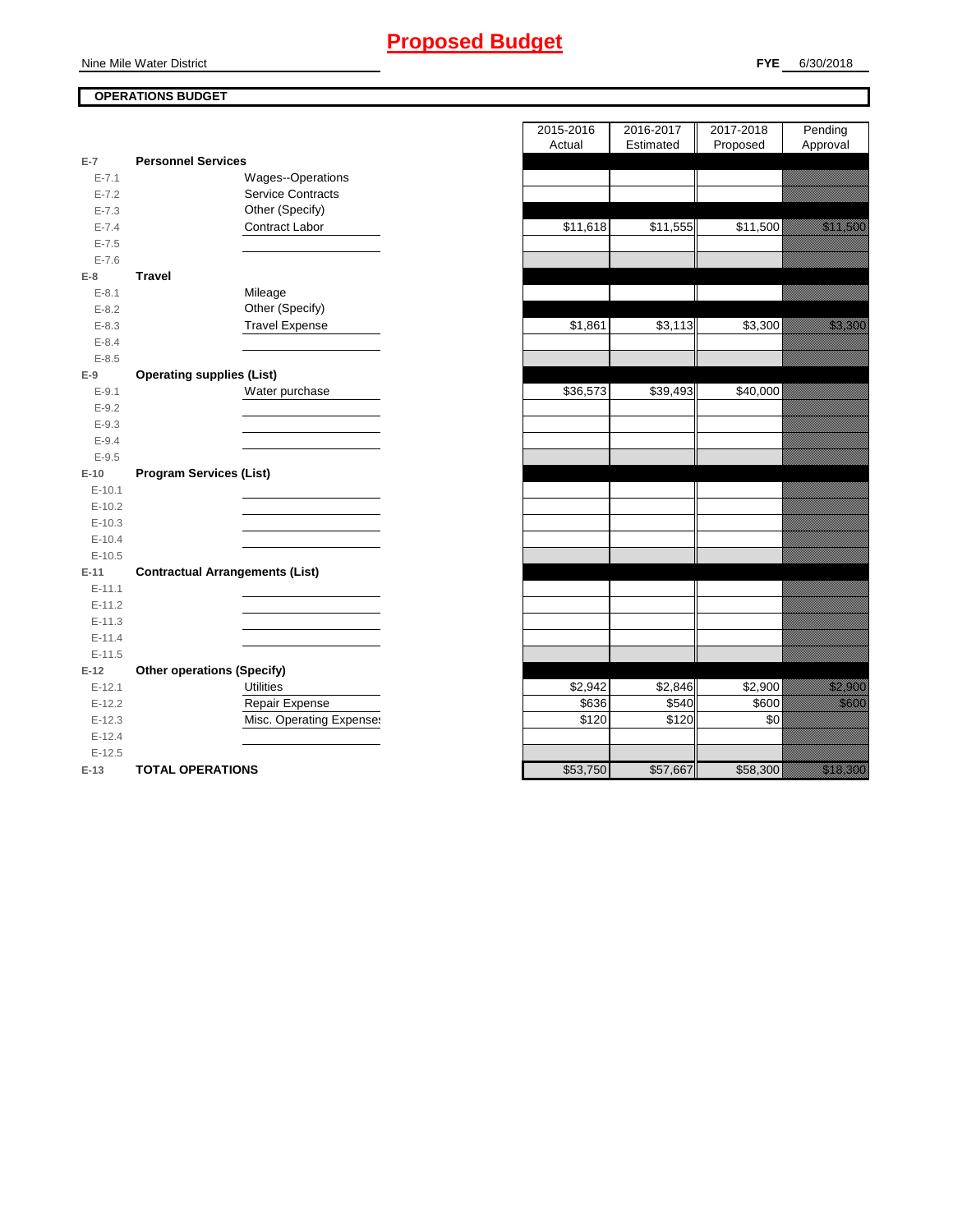### Nine Mile Water District

## **OPERATIONS BUDGET**

| $E-7$     | <b>Personnel Services</b>              |          |          |          |                                                                                                                       |
|-----------|----------------------------------------|----------|----------|----------|-----------------------------------------------------------------------------------------------------------------------|
| $E - 7.1$ | Wages--Operations                      |          |          |          |                                                                                                                       |
| $E - 7.2$ | Service Contracts                      |          |          |          |                                                                                                                       |
| $E - 7.3$ | Other (Specify)                        |          |          |          |                                                                                                                       |
| $E - 7.4$ | Contract Labor                         | \$11,618 | \$11,555 | \$11,500 | <u>saman sa</u>                                                                                                       |
| $E - 7.5$ |                                        |          |          |          |                                                                                                                       |
| $E - 7.6$ |                                        |          |          |          |                                                                                                                       |
| $E-8$     | <b>Travel</b>                          |          |          |          |                                                                                                                       |
| $E - 8.1$ | Mileage                                |          |          |          |                                                                                                                       |
| $E - 8.2$ | Other (Specify)                        |          |          |          |                                                                                                                       |
| $E - 8.3$ | <b>Travel Expense</b>                  | \$1,861  | \$3,113  | \$3,300  | <u> Karlin Saraja</u>                                                                                                 |
| $E - 8.4$ |                                        |          |          |          |                                                                                                                       |
| $E - 8.5$ |                                        |          |          |          |                                                                                                                       |
| $E-9$     | <b>Operating supplies (List)</b>       |          |          |          |                                                                                                                       |
| $E-9.1$   | Water purchase                         | \$36,573 | \$39,493 | \$40,000 |                                                                                                                       |
| $E - 9.2$ |                                        |          |          |          |                                                                                                                       |
| $E-9.3$   |                                        |          |          |          |                                                                                                                       |
| $E - 9.4$ |                                        |          |          |          |                                                                                                                       |
| $E - 9.5$ |                                        |          |          |          |                                                                                                                       |
| $E-10$    | <b>Program Services (List)</b>         |          |          |          |                                                                                                                       |
| $E-10.1$  |                                        |          |          |          |                                                                                                                       |
| $E-10.2$  |                                        |          |          |          |                                                                                                                       |
| $E-10.3$  |                                        |          |          |          |                                                                                                                       |
| $E-10.4$  |                                        |          |          |          |                                                                                                                       |
| $E-10.5$  |                                        |          |          |          |                                                                                                                       |
| $E-11$    | <b>Contractual Arrangements (List)</b> |          |          |          |                                                                                                                       |
| $E-11.1$  |                                        |          |          |          |                                                                                                                       |
| $E-11.2$  |                                        |          |          |          |                                                                                                                       |
| $E-11.3$  |                                        |          |          |          |                                                                                                                       |
| $E-11.4$  |                                        |          |          |          |                                                                                                                       |
| $E-11.5$  |                                        |          |          |          |                                                                                                                       |
| $E-12$    | <b>Other operations (Specify)</b>      |          |          |          |                                                                                                                       |
| $E-12.1$  | <b>Utilities</b>                       | \$2,942  | \$2,846  | \$2,900  | <u>tions and the community of the community of the community of the community of the community of the community o</u> |
| $E-12.2$  | Repair Expense                         | \$636    | \$540    | \$600    | <u>ti ka</u>                                                                                                          |
| $E-12.3$  | Misc. Operating Expenses               | \$120    | \$120    | \$0      |                                                                                                                       |
| $E-12.4$  |                                        |          |          |          |                                                                                                                       |
| $E-12.5$  |                                        |          |          |          |                                                                                                                       |
| $E-13$    | <b>TOTAL OPERATIONS</b>                | \$53,750 | \$57,667 | \$58,300 | a a an t-                                                                                                             |

|                        |                                               | 2015-2016 | 2016-2017 | 2017-2018 | Pending                                                                                                                  |
|------------------------|-----------------------------------------------|-----------|-----------|-----------|--------------------------------------------------------------------------------------------------------------------------|
|                        |                                               | Actual    | Estimated | Proposed  | Approval                                                                                                                 |
| $\overline{7}$         | <b>Personnel Services</b>                     |           |           |           |                                                                                                                          |
| $E - 7.1$<br>$E - 7.2$ | Wages--Operations<br><b>Service Contracts</b> |           |           |           |                                                                                                                          |
|                        | Other (Specify)                               |           |           |           |                                                                                                                          |
| $E - 7.3$<br>$E - 7.4$ | Contract Labor                                | \$11,618  | \$11,555  | \$11,500  | a katika katika katika katika katika katika alifuwa alifuwa alifuwa alifuwa alifuwa alifuwa alifuwa alifuwa a<br>Marejeo |
| $E - 7.5$              |                                               |           |           |           |                                                                                                                          |
| $E - 7.6$              |                                               |           |           |           |                                                                                                                          |
| 8                      | <b>Travel</b>                                 |           |           |           |                                                                                                                          |
| $E-8.1$                | Mileage                                       |           |           |           |                                                                                                                          |
| $E - 8.2$              | Other (Specify)                               |           |           |           |                                                                                                                          |
| $E - 8.3$              | <b>Travel Expense</b>                         | \$1,861   | \$3,113   | \$3,300   | <u> Kalifornia (</u>                                                                                                     |
| $E - 8.4$              |                                               |           |           |           |                                                                                                                          |
| $E - 8.5$              |                                               |           |           |           |                                                                                                                          |
| 9                      | <b>Operating supplies (List)</b>              |           |           |           |                                                                                                                          |
| $E - 9.1$              | Water purchase                                | \$36,573  | \$39,493  | \$40,000  |                                                                                                                          |
| $E-9.2$                |                                               |           |           |           |                                                                                                                          |
| $E-9.3$                |                                               |           |           |           |                                                                                                                          |
| $E - 9.4$              |                                               |           |           |           |                                                                                                                          |
| $E - 9.5$              |                                               |           |           |           |                                                                                                                          |
| 10                     | <b>Program Services (List)</b>                |           |           |           |                                                                                                                          |
| $E-10.1$               |                                               |           |           |           |                                                                                                                          |
| $E-10.2$               |                                               |           |           |           |                                                                                                                          |
| $E-10.3$               |                                               |           |           |           |                                                                                                                          |
| $E-10.4$               |                                               |           |           |           |                                                                                                                          |
| $E-10.5$               |                                               |           |           |           |                                                                                                                          |
| $-11$                  | <b>Contractual Arrangements (List)</b>        |           |           |           |                                                                                                                          |
| $E-11.1$               |                                               |           |           |           |                                                                                                                          |
| $E-11.2$               |                                               |           |           |           |                                                                                                                          |
| $E-11.3$               |                                               |           |           |           |                                                                                                                          |
| $E-11.4$               |                                               |           |           |           |                                                                                                                          |
| $E-11.5$               |                                               |           |           |           |                                                                                                                          |
| 12                     | <b>Other operations (Specify)</b>             |           |           |           |                                                                                                                          |
| $E-12.1$               | <b>Utilities</b>                              | \$2,942   | \$2,846   | \$2,900   | <u> Hillian Star</u>                                                                                                     |
| $E-12.2$               | Repair Expense                                | \$636     | \$540     | \$600     | <u>ti ka</u>                                                                                                             |
| $E-12.3$               | Misc. Operating Expenses                      | \$120     | \$120     | \$0       |                                                                                                                          |
| $E-12.4$               |                                               |           |           |           |                                                                                                                          |
| $E-12.5$               | TOTAL OPERATIONS                              | \$53,750  | \$5767    | \$58.300  | <u>Mariji (</u>                                                                                                          |
| $12 -$                 |                                               |           |           |           |                                                                                                                          |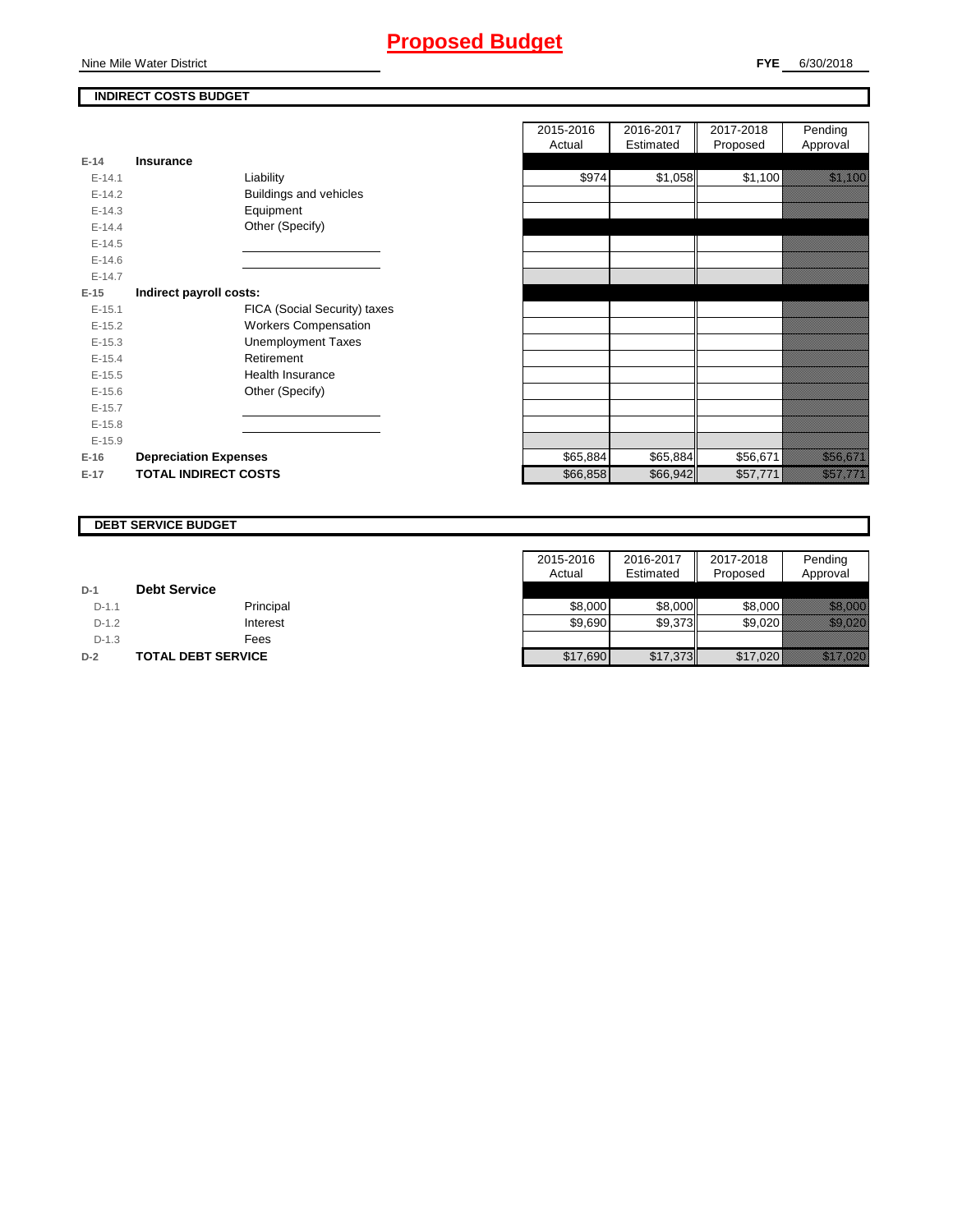## **Proposed Budget**

### **INDIRECT COSTS BUDGET**

| E-14       | Insurance                    |
|------------|------------------------------|
|            |                              |
| $F-141$    | Liability                    |
| $F-142$    | Buildings and vehicles       |
| $E-14.3$   | Equipment                    |
| $F-144$    | Other (Specify)              |
| $E-14.5$   |                              |
| $E - 14.6$ |                              |
| $F-147$    |                              |
| E-15       | Indirect payroll costs:      |
| $E-15.1$   | FICA (Social Security) taxes |
| $E-15.2$   | <b>Workers Compensation</b>  |
| $E-15.3$   | <b>Unemployment Taxes</b>    |
| $E-15.4$   | Retirement                   |
| $E-15.5$   | <b>Health Insurance</b>      |
| $E-15.6$   | Other (Specify)              |
| $E-15.7$   |                              |
| $F-15.8$   |                              |
| $E-15.9$   |                              |
| $E-16$     | <b>Depreciation Expenses</b> |
| $E-17$     | <b>TOTAL INDIRECT COSTS</b>  |

|          |                              | 2015-2016 | 2016-2017 | 2017-2018 | Pending                                                                                                             |
|----------|------------------------------|-----------|-----------|-----------|---------------------------------------------------------------------------------------------------------------------|
|          |                              | Actual    | Estimated | Proposed  | Approval                                                                                                            |
| $E-14$   | <b>Insurance</b>             |           |           |           |                                                                                                                     |
| $E-14.1$ | Liability                    | \$974     | \$1,058   | \$1,100   | <u> Karlin Maria San Barat Ing</u>                                                                                  |
| $E-14.2$ | Buildings and vehicles       |           |           |           |                                                                                                                     |
| $E-14.3$ | Equipment                    |           |           |           |                                                                                                                     |
| $E-14.4$ | Other (Specify)              |           |           |           |                                                                                                                     |
| $E-14.5$ |                              |           |           |           |                                                                                                                     |
| $E-14.6$ |                              |           |           |           |                                                                                                                     |
| $E-14.7$ |                              |           |           |           |                                                                                                                     |
| $E-15$   | Indirect payroll costs:      |           |           |           |                                                                                                                     |
| $E-15.1$ | FICA (Social Security) taxes |           |           |           |                                                                                                                     |
| $E-15.2$ | <b>Workers Compensation</b>  |           |           |           |                                                                                                                     |
| $E-15.3$ | <b>Unemployment Taxes</b>    |           |           |           |                                                                                                                     |
| $E-15.4$ | Retirement                   |           |           |           |                                                                                                                     |
| $E-15.5$ | <b>Health Insurance</b>      |           |           |           |                                                                                                                     |
| $E-15.6$ | Other (Specify)              |           |           |           |                                                                                                                     |
| $E-15.7$ |                              |           |           |           |                                                                                                                     |
| $E-15.8$ |                              |           |           |           |                                                                                                                     |
| $E-15.9$ |                              |           |           |           |                                                                                                                     |
| E-16     | <b>Depreciation Expenses</b> | \$65,884  | \$65,884  | \$56,671  | <u>tik ka</u>                                                                                                       |
| E-17     | <b>TOTAL INDIRECT COSTS</b>  | \$66,858  | \$66,942  | \$57,771  | <u>izan dago da shekara ta 1999 da ga shekara ta 2009 da ga shekara ta 2009 da ga shekara ta 2009 da ga shekara</u> |
|          |                              |           |           |           |                                                                                                                     |

#### **DEBT SERVICE BUDGET**

|         |                           | 2015-2016 | 2016-2017 | 2017-2018 | Pending               |
|---------|---------------------------|-----------|-----------|-----------|-----------------------|
|         |                           | Actual    | Estimated | Proposed  | Approval              |
| $D-1$   | <b>Debt Service</b>       |           |           |           |                       |
| $D-1.1$ | Principal                 | \$8,000   | \$8,000   | \$8,000   | <u> Historian Sta</u> |
| $D-1.2$ | Interest                  | \$9.690   | \$9,373   | \$9,020   | <u> Karatika Ka</u>   |
| $D-1.3$ | Fees                      |           |           |           |                       |
| $D-2$   | <b>TOTAL DEBT SERVICE</b> | \$17,690  | \$17,373  | \$17,020  | <u> Marije (1999)</u> |